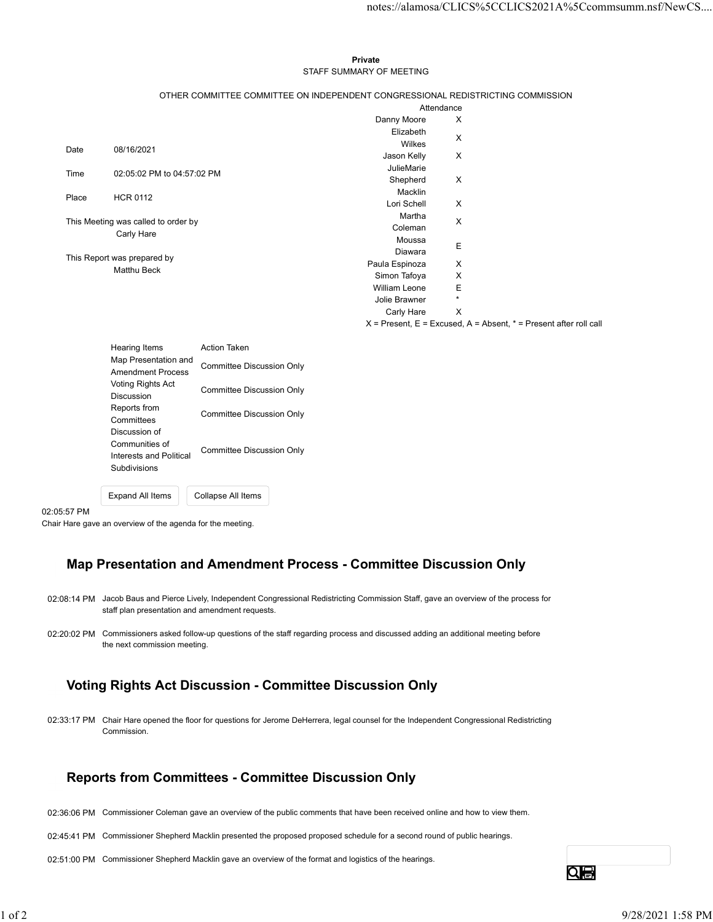#### Private **Private** and *Private* and *Private* and *Private* and *Private* and *Private* and *Private* and *Private* and *Private* and *Private* and *Private* and *Private* and *Private* and *Private* and *Private* and *Pri* STAFF SUMMARY OF MEETING

|       |                                       |                                                                                 |                                     |                                                                       | notes://alamosa/CLICS%5CCLICS2021A%5Ccommsumm.nsf/NewCS |
|-------|---------------------------------------|---------------------------------------------------------------------------------|-------------------------------------|-----------------------------------------------------------------------|---------------------------------------------------------|
|       |                                       |                                                                                 |                                     |                                                                       |                                                         |
|       |                                       |                                                                                 |                                     |                                                                       |                                                         |
|       |                                       |                                                                                 |                                     |                                                                       |                                                         |
|       |                                       |                                                                                 | Private<br>STAFF SUMMARY OF MEETING |                                                                       |                                                         |
|       |                                       |                                                                                 |                                     |                                                                       |                                                         |
|       |                                       | OTHER COMMITTEE COMMITTEE ON INDEPENDENT CONGRESSIONAL REDISTRICTING COMMISSION |                                     |                                                                       |                                                         |
|       |                                       |                                                                                 |                                     | Attendance                                                            |                                                         |
|       |                                       |                                                                                 | Danny Moore<br>Elizabeth            | X                                                                     |                                                         |
|       |                                       |                                                                                 | Wilkes                              | $\boldsymbol{\mathsf{X}}$                                             |                                                         |
| Date  | 08/16/2021                            |                                                                                 | Jason Kelly                         | X                                                                     |                                                         |
| Time  | 02:05:02 PM to 04:57:02 PM            |                                                                                 | JulieMarie                          |                                                                       |                                                         |
|       |                                       |                                                                                 | Shepherd                            | $\boldsymbol{\mathsf{X}}$                                             |                                                         |
| Place | <b>HCR 0112</b>                       |                                                                                 | Macklin                             |                                                                       |                                                         |
|       |                                       |                                                                                 | Lori Schell<br>Martha               | Χ                                                                     |                                                         |
|       | This Meeting was called to order by   |                                                                                 | Coleman                             | $\boldsymbol{\mathsf{X}}$                                             |                                                         |
|       | Carly Hare                            |                                                                                 | Moussa                              | Ε                                                                     |                                                         |
|       | This Report was prepared by           |                                                                                 | Diawara                             |                                                                       |                                                         |
|       | Matthu Beck                           |                                                                                 | Paula Espinoza                      | Χ                                                                     |                                                         |
|       |                                       |                                                                                 | Simon Tafoya<br>William Leone       | X<br>$\mathsf E$                                                      |                                                         |
|       |                                       |                                                                                 | Jolie Brawner                       | $\star$                                                               |                                                         |
|       |                                       |                                                                                 | Carly Hare                          | $\mathsf{X}$                                                          |                                                         |
|       |                                       |                                                                                 |                                     | $X =$ Present, E = Excused, A = Absent, $* =$ Present after roll call |                                                         |
|       |                                       | Action Taken                                                                    |                                     |                                                                       |                                                         |
|       | Hearing Items<br>Map Presentation and |                                                                                 |                                     |                                                                       |                                                         |
|       | <b>Amendment Process</b>              | <b>Committee Discussion Only</b>                                                |                                     |                                                                       |                                                         |
|       | Voting Rights Act                     | <b>Committee Discussion Only</b>                                                |                                     |                                                                       |                                                         |
|       | Discussion                            |                                                                                 |                                     |                                                                       |                                                         |
|       | Reports from                          |                                                                                 |                                     |                                                                       |                                                         |

| <b>Hearing Items</b><br>Map Presentation and<br><b>Amendment Process</b>   | Action Taken<br>Committee Discussion Only |
|----------------------------------------------------------------------------|-------------------------------------------|
| Voting Rights Act<br>Discussion                                            | Committee Discussion Only                 |
| Reports from<br>Committees                                                 | Committee Discussion Only                 |
| Discussion of<br>Communities of<br>Interests and Political<br>Subdivisions | Committee Discussion Only                 |
| <b>Expand All Items</b>                                                    | Collapse All Items                        |

02:05:57 PM

Chair Hare gave an overview of the agenda for the meeting.

# Map Presentation and Amendment Process - Committee Discussion Only

- 02:08:14 PM Jacob Baus and Pierce Lively, Independent Congressional Redistricting Commission Staff, gave an overview of the process for staff plan presentation and amendment requests.
- 02:20:02 PM Commissioners asked follow-up questions of the staff regarding process and discussed adding an additional meeting before the next commission meeting.

# Voting Rights Act Discussion - Committee Discussion Only

02:33:17 PM Chair Hare opened the floor for questions for Jerome DeHerrera, legal counsel for the Independent Congressional Redistricting Commission. 0220.02 PM Commissiones asked follow-up questions of the staff regarding process and discussed adding an additional meeting before<br>the next commission meeting.<br> **1 Obting Rights Act Discussion - Committee Discussion Only**<br>

#### Reports from Committees - Committee Discussion Only

- 02:36:06 PM Commissioner Coleman gave an overview of the public comments that have been received online and how to view them.
- 02:45:41 PM Commissioner Shepherd Macklin presented the proposed proposed schedule for a second round of public hearings.

02:51:00 PM Commissioner Shepherd Macklin gave an overview of the format and logistics of the hearings.